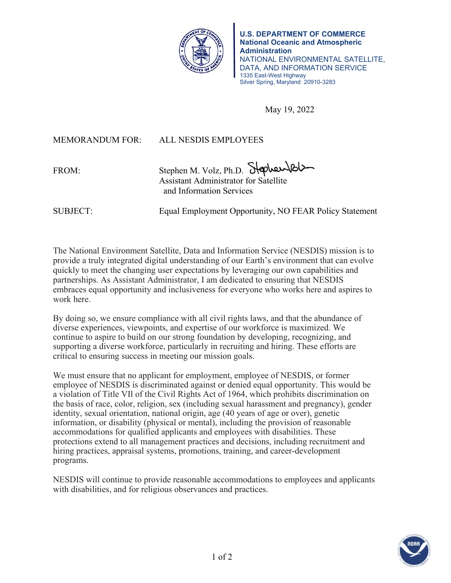

**U.S. DEPARTMENT OF COMMERCE National Oceanic and Atmospheric Administration** NATIONAL ENVIRONMENTAL SATELLITE, DATA, AND INFORMATION SERVICE 1335 East-West Highway Silver Spring, Maryland 20910-3283

May 19, 2022

MEMORANDUM FOR: ALL NESDIS EMPLOYEES

FROM: Stephen M. Volz, Ph.D. Stephen X Assistant Administrator for Satellite and Information Services

SUBJECT: Equal Employment Opportunity, NO FEAR Policy Statement

The National Environment Satellite, Data and Information Service (NESDIS) mission is to provide a truly integrated digital understanding of our Earth's environment that can evolve quickly to meet the changing user expectations by leveraging our own capabilities and partnerships. As Assistant Administrator, I am dedicated to ensuring that NESDIS embraces equal opportunity and inclusiveness for everyone who works here and aspires to work here.

By doing so, we ensure compliance with all civil rights laws, and that the abundance of diverse experiences, viewpoints, and expertise of our workforce is maximized. We continue to aspire to build on our strong foundation by developing, recognizing, and supporting a diverse workforce, particularly in recruiting and hiring. These efforts are critical to ensuring success in meeting our mission goals.

We must ensure that no applicant for employment, employee of NESDIS, or former employee of NESDIS is discriminated against or denied equal opportunity. This would be a violation of Title VIl of the Civil Rights Act of 1964, which prohibits discrimination on the basis of race, color, religion, sex (including sexual harassment and pregnancy), gender identity, sexual orientation, national origin, age (40 years of age or over), genetic information, or disability (physical or mental), including the provision of reasonable accommodations for qualified applicants and employees with disabilities. These protections extend to all management practices and decisions, including recruitment and hiring practices, appraisal systems, promotions, training, and career-development programs.

NESDIS will continue to provide reasonable accommodations to employees and applicants with disabilities, and for religious observances and practices.